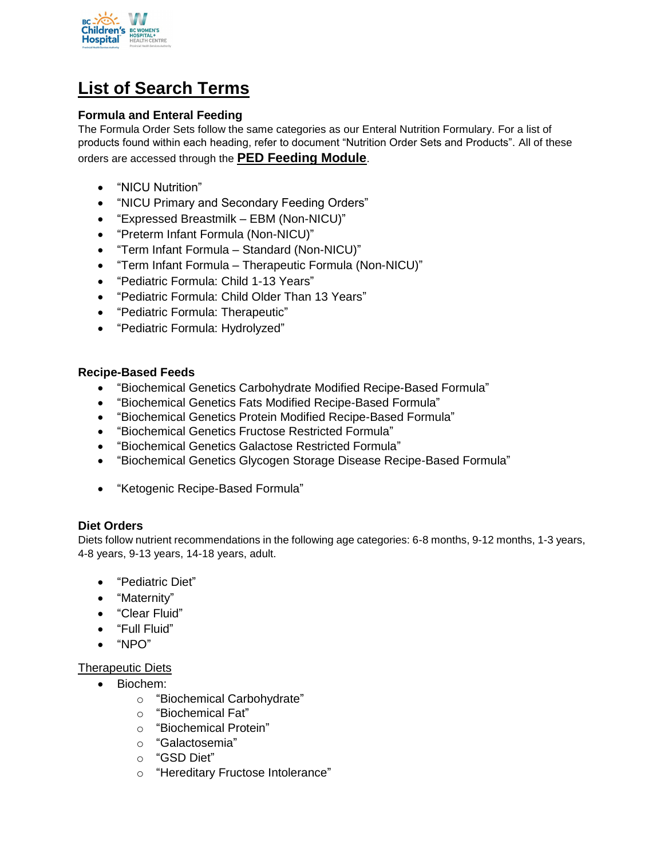

# **List of Search Terms**

# **Formula and Enteral Feeding**

The Formula Order Sets follow the same categories as our Enteral Nutrition Formulary. For a list of products found within each heading, refer to document "Nutrition Order Sets and Products". All of these orders are accessed through the **PED Feeding Module**.

- "NICU Nutrition"
- "NICU Primary and Secondary Feeding Orders"
- "Expressed Breastmilk EBM (Non-NICU)"
- "Preterm Infant Formula (Non-NICU)"
- "Term Infant Formula Standard (Non-NICU)"
- "Term Infant Formula Therapeutic Formula (Non-NICU)"
- "Pediatric Formula: Child 1-13 Years"
- "Pediatric Formula: Child Older Than 13 Years"
- "Pediatric Formula: Therapeutic"
- "Pediatric Formula: Hydrolyzed"

#### **Recipe-Based Feeds**

- "Biochemical Genetics Carbohydrate Modified Recipe-Based Formula"
- "Biochemical Genetics Fats Modified Recipe-Based Formula"
- "Biochemical Genetics Protein Modified Recipe-Based Formula"
- "Biochemical Genetics Fructose Restricted Formula"
- "Biochemical Genetics Galactose Restricted Formula"
- "Biochemical Genetics Glycogen Storage Disease Recipe-Based Formula"
- "Ketogenic Recipe-Based Formula"

#### **Diet Orders**

Diets follow nutrient recommendations in the following age categories: 6-8 months, 9-12 months, 1-3 years, 4-8 years, 9-13 years, 14-18 years, adult.

- "Pediatric Diet"
- "Maternity"
- "Clear Fluid"
- "Full Fluid"
- "NPO"

## Therapeutic Diets

- Biochem:
	- o "Biochemical Carbohydrate"
	- o "Biochemical Fat"
	- o "Biochemical Protein"
	- o "Galactosemia"
	- o "GSD Diet"
	- o "Hereditary Fructose Intolerance"